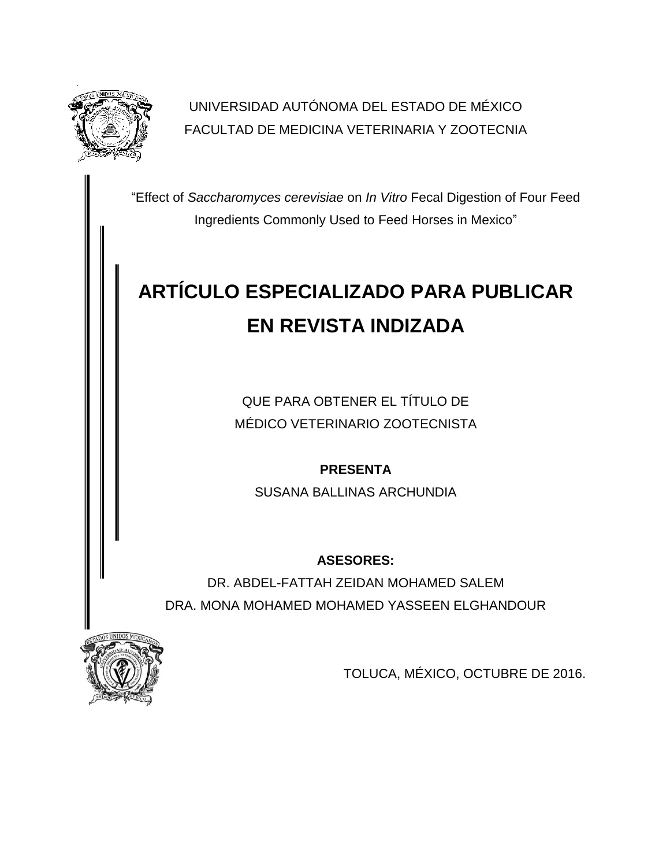

UNIVERSIDAD AUTÓNOMA DEL ESTADO DE MÉXICO FACULTAD DE MEDICINA VETERINARIA Y ZOOTECNIA

"Effect of *Saccharomyces cerevisiae* on *In Vitro* Fecal Digestion of Four Feed Ingredients Commonly Used to Feed Horses in Mexico"

# **ARTÍCULO ESPECIALIZADO PARA PUBLICAR EN REVISTA INDIZADA**

QUE PARA OBTENER EL TÍTULO DE MÉDICO VETERINARIO ZOOTECNISTA

**PRESENTA**

SUSANA BALLINAS ARCHUNDIA

**ASESORES:**

DR. ABDEL-FATTAH ZEIDAN MOHAMED SALEM DRA. MONA MOHAMED MOHAMED YASSEEN ELGHANDOUR



TOLUCA, MÉXICO, OCTUBRE DE 2016.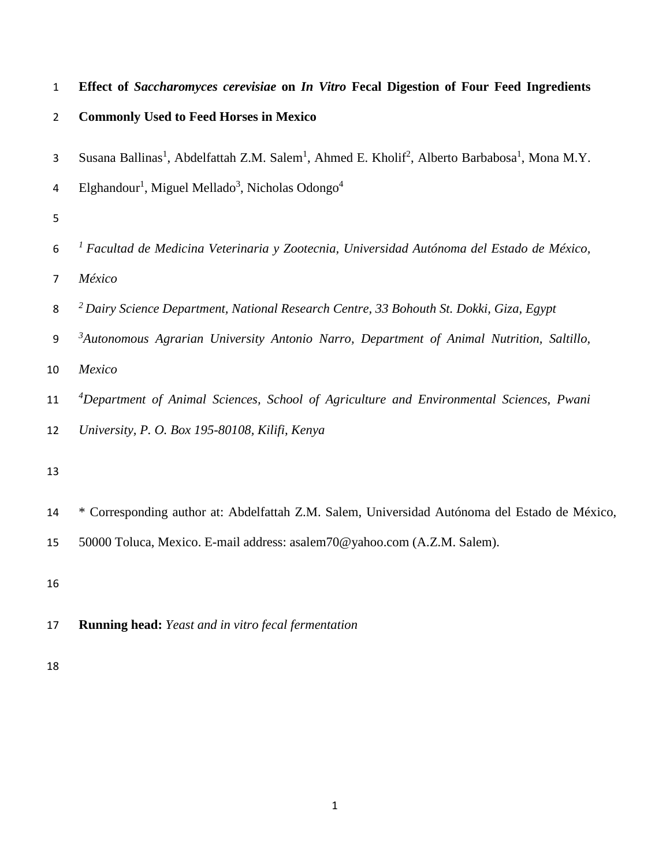**Effect of** *Saccharomyces cerevisiae* **on** *In Vitro* **Fecal Digestion of Four Feed Ingredients** 

| $\overline{2}$ | <b>Commonly Used to Feed Horses in Mexico</b> |  |  |  |
|----------------|-----------------------------------------------|--|--|--|
|                |                                               |  |  |  |

- 3 Susana Ballinas<sup>1</sup>, Abdelfattah Z.M. Salem<sup>1</sup>, Ahmed E. Kholif<sup>2</sup>, Alberto Barbabosa<sup>1</sup>, Mona M.Y.
- Elghandour<sup>1</sup>, Miguel Mellado<sup>3</sup>, Nicholas Odongo<sup>4</sup>
- 
- *1 Facultad de Medicina Veterinaria y Zootecnia, Universidad Autónoma del Estado de México, México*
- *2 Dairy Science Department, National Research Centre, 33 Bohouth St. Dokki, Giza, Egypt*
- *3 Autonomous Agrarian University Antonio Narro, Department of Animal Nutrition, Saltillo,*
- *Mexico*
- *4 Department of Animal Sciences, School of Agriculture and Environmental Sciences, Pwani*
- *University, P. O. Box 195-80108, Kilifi, Kenya*
- 
- \* Corresponding author at: Abdelfattah Z.M. Salem, Universidad Autónoma del Estado de México,

50000 Toluca, Mexico. E-mail address: asalem70@yahoo.com (A.Z.M. Salem).

- **Running head:** *Yeast and in vitro fecal fermentation*
-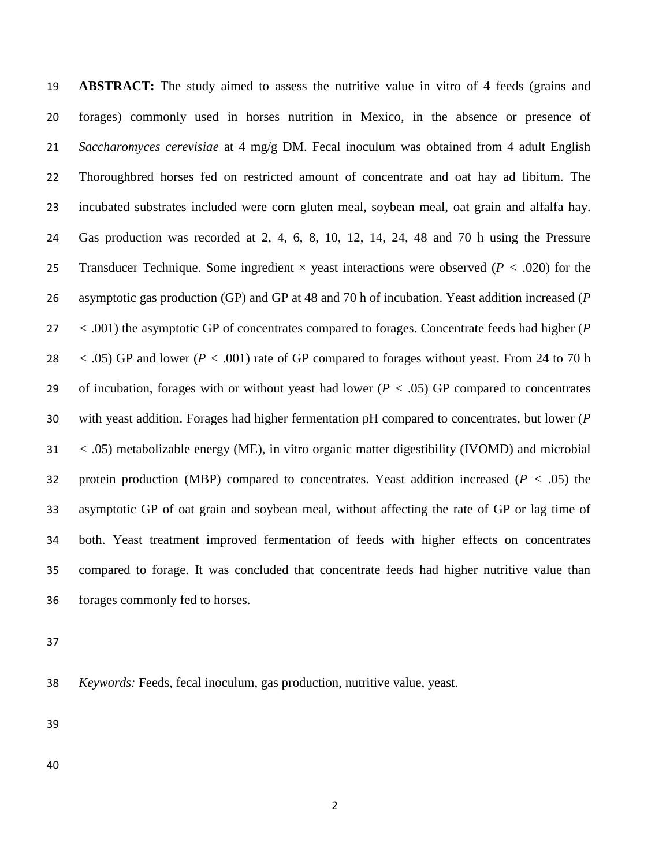**ABSTRACT:** The study aimed to assess the nutritive value in vitro of 4 feeds (grains and forages) commonly used in horses nutrition in Mexico, in the absence or presence of *Saccharomyces cerevisiae* at 4 mg/g DM. Fecal inoculum was obtained from 4 adult English Thoroughbred horses fed on restricted amount of concentrate and oat hay ad libitum. The incubated substrates included were corn gluten meal, soybean meal, oat grain and alfalfa hay. Gas production was recorded at 2, 4, 6, 8, 10, 12, 14, 24, 48 and 70 h using the Pressure Transducer Technique. Some ingredient × yeast interactions were observed (*P <* .020) for the asymptotic gas production (GP) and GP at 48 and 70 h of incubation. Yeast addition increased (*P <* .001) the asymptotic GP of concentrates compared to forages. Concentrate feeds had higher (*P <* .05) GP and lower (*P <* .001) rate of GP compared to forages without yeast. From 24 to 70 h of incubation, forages with or without yeast had lower (*P <* .05) GP compared to concentrates with yeast addition. Forages had higher fermentation pH compared to concentrates, but lower (*P <* .05) metabolizable energy (ME), in vitro organic matter digestibility (IVOMD) and microbial protein production (MBP) compared to concentrates. Yeast addition increased (*P <* .05) the asymptotic GP of oat grain and soybean meal, without affecting the rate of GP or lag time of both. Yeast treatment improved fermentation of feeds with higher effects on concentrates compared to forage. It was concluded that concentrate feeds had higher nutritive value than forages commonly fed to horses.

*Keywords:* Feeds, fecal inoculum, gas production, nutritive value, yeast.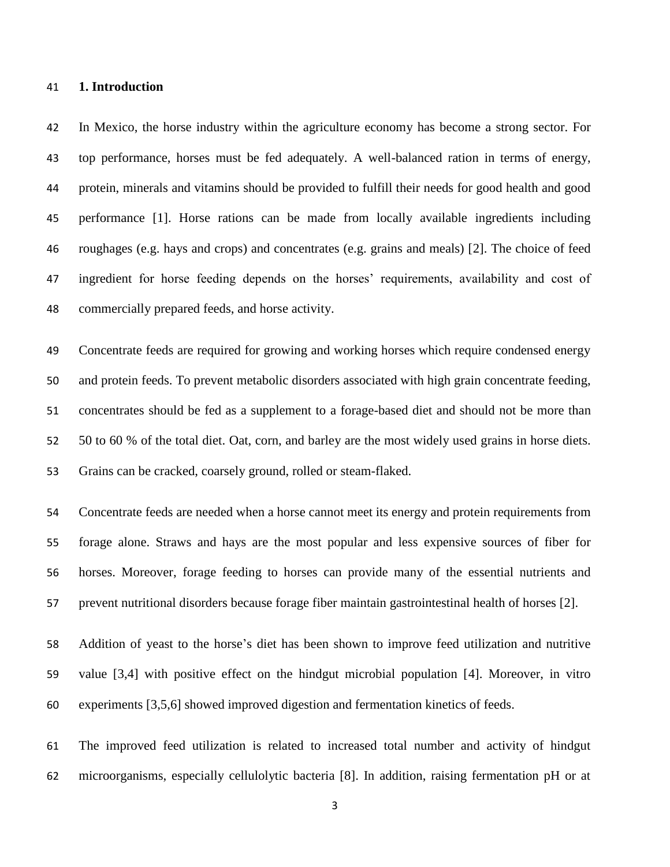#### **1. Introduction**

 In Mexico, the horse industry within the agriculture economy has become a strong sector. For top performance, horses must be fed adequately. A well-balanced ration in terms of energy, protein, minerals and vitamins should be provided to fulfill their needs for good health and good performance [1]. Horse rations can be made from locally available ingredients including roughages (e.g. hays and crops) and concentrates (e.g. grains and meals) [2]. The choice of feed ingredient for horse feeding depends on the horses' requirements, availability and cost of commercially prepared feeds, and horse activity.

 Concentrate feeds are required for growing and working horses which require condensed energy and protein feeds. To prevent metabolic disorders associated with high grain concentrate feeding, concentrates should be fed as a supplement to a forage-based diet and should not be more than 50 to 60 % of the total diet. Oat, corn, and barley are the most widely used grains in horse diets. Grains can be cracked, coarsely ground, rolled or steam-flaked.

 Concentrate feeds are needed when a horse cannot meet its energy and protein requirements from forage alone. Straws and hays are the most popular and less expensive sources of fiber for horses. Moreover, forage feeding to horses can provide many of the essential nutrients and prevent nutritional disorders because forage fiber maintain gastrointestinal health of horses [2].

 Addition of yeast to the horse's diet has been shown to improve feed utilization and nutritive value [3,4] with positive effect on the hindgut microbial population [4]. Moreover, in vitro experiments [3,5,6] showed improved digestion and fermentation kinetics of feeds.

 The improved feed utilization is related to increased total number and activity of hindgut microorganisms, especially cellulolytic bacteria [8]. In addition, raising fermentation pH or at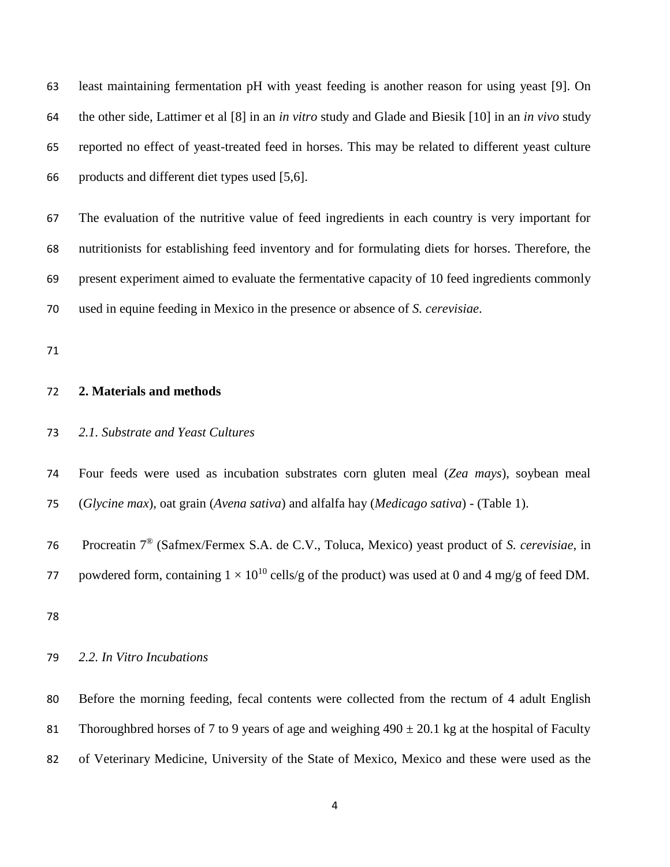least maintaining fermentation pH with yeast feeding is another reason for using yeast [9]. On the other side, Lattimer et al [8] in an *in vitro* study and Glade and Biesik [10] in an *in vivo* study reported no effect of yeast-treated feed in horses. This may be related to different yeast culture products and different diet types used [5,6].

 The evaluation of the nutritive value of feed ingredients in each country is very important for nutritionists for establishing feed inventory and for formulating diets for horses. Therefore, the present experiment aimed to evaluate the fermentative capacity of 10 feed ingredients commonly used in equine feeding in Mexico in the presence or absence of *S. cerevisiae*.

#### **2. Materials and methods**

#### *2.1. Substrate and Yeast Cultures*

 Four feeds were used as incubation substrates corn gluten meal (*Zea mays*), soybean meal (*Glycine max*), oat grain (*Avena sativa*) and alfalfa hay (*Medicago sativa*) - (Table 1).

Procreatin 7® (Safmex/Fermex S.A. de C.V., Toluca, Mexico) yeast product of *S. cerevisiae*, in

77 powdered form, containing  $1 \times 10^{10}$  cells/g of the product) was used at 0 and 4 mg/g of feed DM.

#### *2.2. In Vitro Incubations*

 Before the morning feeding, fecal contents were collected from the rectum of 4 adult English 81 Thoroughbred horses of 7 to 9 years of age and weighing  $490 \pm 20.1$  kg at the hospital of Faculty of Veterinary Medicine, University of the State of Mexico, Mexico and these were used as the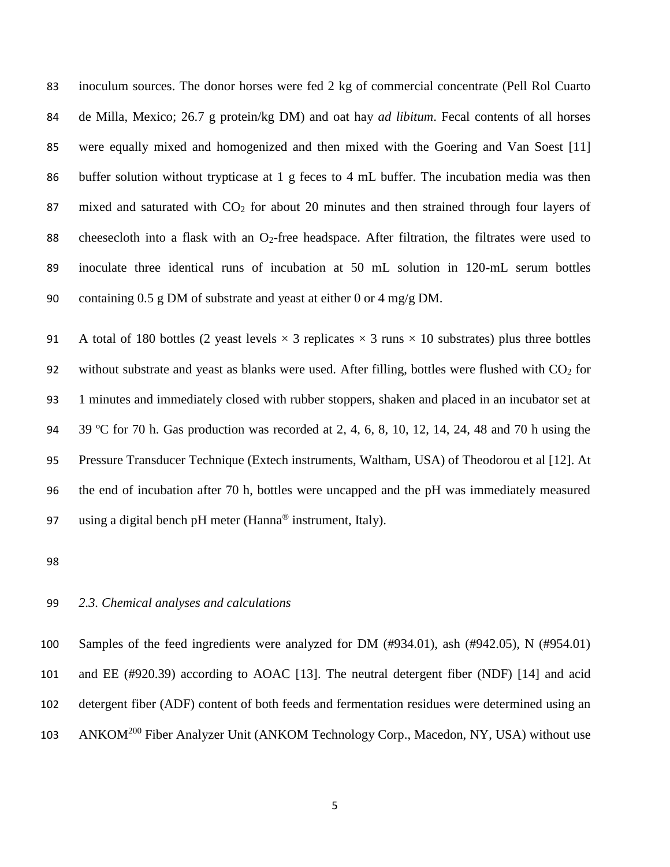inoculum sources. The donor horses were fed 2 kg of commercial concentrate (Pell Rol Cuarto de Milla, Mexico; 26.7 g protein/kg DM) and oat hay *ad libitum*. Fecal contents of all horses were equally mixed and homogenized and then mixed with the Goering and Van Soest [11] buffer solution without trypticase at 1 g feces to 4 mL buffer. The incubation media was then 87 mixed and saturated with  $CO<sub>2</sub>$  for about 20 minutes and then strained through four layers of 88 cheesecloth into a flask with an  $O_2$ -free headspace. After filtration, the filtrates were used to inoculate three identical runs of incubation at 50 mL solution in 120-mL serum bottles containing 0.5 g DM of substrate and yeast at either 0 or 4 mg/g DM.

91 A total of 180 bottles (2 yeast levels  $\times$  3 replicates  $\times$  3 runs  $\times$  10 substrates) plus three bottles 92 without substrate and yeast as blanks were used. After filling, bottles were flushed with  $CO<sub>2</sub>$  for 1 minutes and immediately closed with rubber stoppers, shaken and placed in an incubator set at 39 ºC for 70 h. Gas production was recorded at 2, 4, 6, 8, 10, 12, 14, 24, 48 and 70 h using the Pressure Transducer Technique (Extech instruments, Waltham, USA) of Theodorou et al [12]. At the end of incubation after 70 h, bottles were uncapped and the pH was immediately measured 97 using a digital bench pH meter (Hanna<sup>®</sup> instrument, Italy).

#### *2.3. Chemical analyses and calculations*

 Samples of the feed ingredients were analyzed for DM (#934.01), ash (#942.05), N (#954.01) and EE (#920.39) according to AOAC [13]. The neutral detergent fiber (NDF) [14] and acid detergent fiber (ADF) content of both feeds and fermentation residues were determined using an 103 ANKOM<sup>200</sup> Fiber Analyzer Unit (ANKOM Technology Corp., Macedon, NY, USA) without use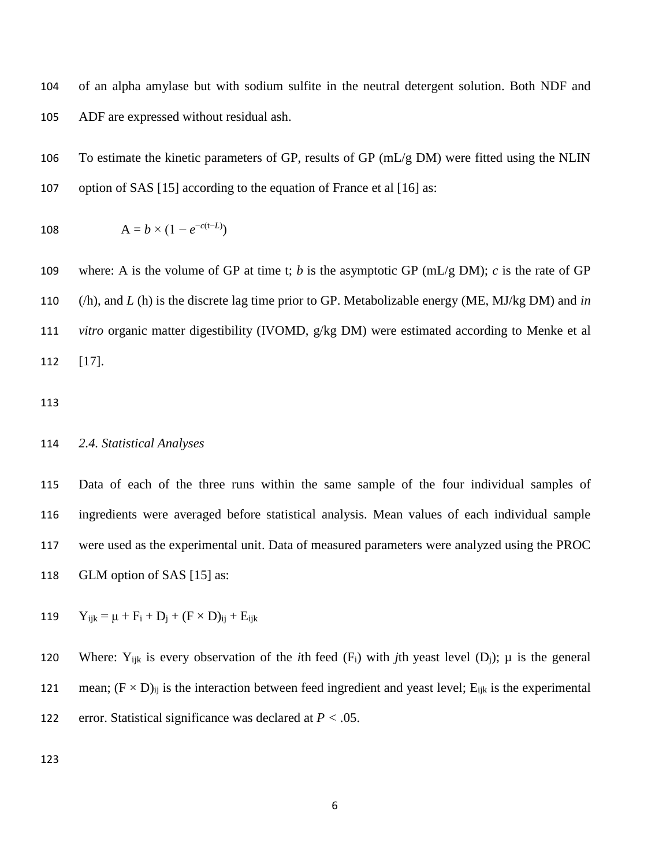of an alpha amylase but with sodium sulfite in the neutral detergent solution. Both NDF and ADF are expressed without residual ash.

 To estimate the kinetic parameters of GP, results of GP (mL/g DM) were fitted using the NLIN option of SAS [15] according to the equation of France et al [16] as:

108 
$$
A = b \times (1 - e^{-c(t-L)})
$$

 where: A is the volume of GP at time t; *b* is the asymptotic GP (mL/g DM); *c* is the rate of GP (/h), and *L* (h) is the discrete lag time prior to GP. Metabolizable energy (ME, MJ/kg DM) and *in vitro* organic matter digestibility (IVOMD, g/kg DM) were estimated according to Menke et al [17].

#### *2.4. Statistical Analyses*

 Data of each of the three runs within the same sample of the four individual samples of ingredients were averaged before statistical analysis. Mean values of each individual sample were used as the experimental unit. Data of measured parameters were analyzed using the PROC GLM option of SAS [15] as:

119 
$$
Y_{ijk} = \mu + F_i + D_j + (F \times D)_{ij} + E_{ijk}
$$

120 Where:  $Y_{ijk}$  is every observation of the *i*th feed  $(F_i)$  with *j*th yeast level  $(D_i)$ ;  $\mu$  is the general 121 mean;  $(F \times D)_{ii}$  is the interaction between feed ingredient and yeast level;  $E_{ijk}$  is the experimental error. Statistical significance was declared at *P <* .05.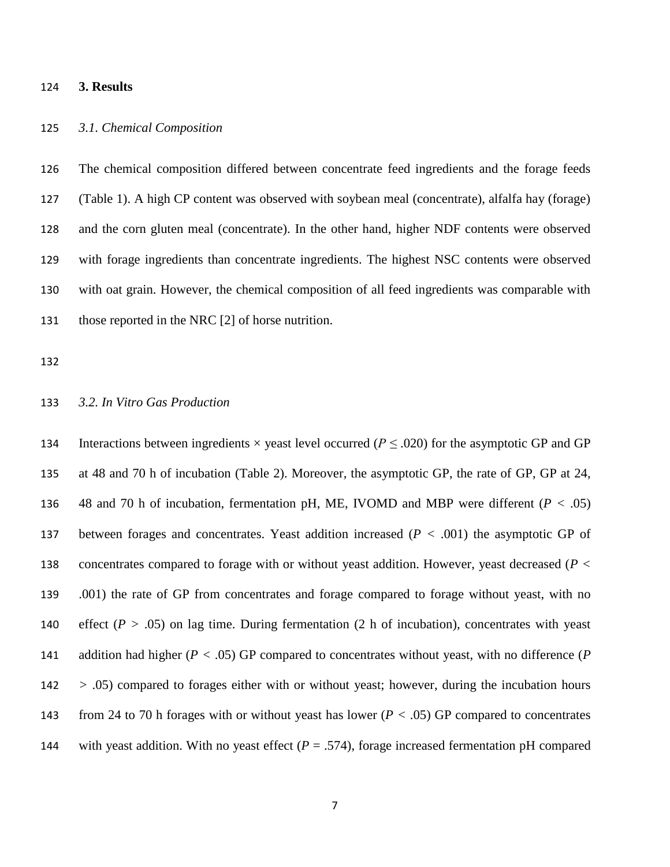#### **3. Results**

#### *3.1. Chemical Composition*

 The chemical composition differed between concentrate feed ingredients and the forage feeds (Table 1). A high CP content was observed with soybean meal (concentrate), alfalfa hay (forage) and the corn gluten meal (concentrate). In the other hand, higher NDF contents were observed with forage ingredients than concentrate ingredients. The highest NSC contents were observed with oat grain. However, the chemical composition of all feed ingredients was comparable with those reported in the NRC [2] of horse nutrition.

#### *3.2. In Vitro Gas Production*

134 Interactions between ingredients  $\times$  yeast level occurred ( $P \leq .020$ ) for the asymptotic GP and GP at 48 and 70 h of incubation (Table 2). Moreover, the asymptotic GP, the rate of GP, GP at 24, 48 and 70 h of incubation, fermentation pH, ME, IVOMD and MBP were different (*P <* .05) between forages and concentrates. Yeast addition increased (*P <* .001) the asymptotic GP of concentrates compared to forage with or without yeast addition. However, yeast decreased (*P <* .001) the rate of GP from concentrates and forage compared to forage without yeast, with no effect (*P >* .05) on lag time. During fermentation (2 h of incubation), concentrates with yeast addition had higher (*P <* .05) GP compared to concentrates without yeast, with no difference (*P >* .05) compared to forages either with or without yeast; however, during the incubation hours from 24 to 70 h forages with or without yeast has lower (*P <* .05) GP compared to concentrates 144 with yeast addition. With no yeast effect  $(P = .574)$ , forage increased fermentation pH compared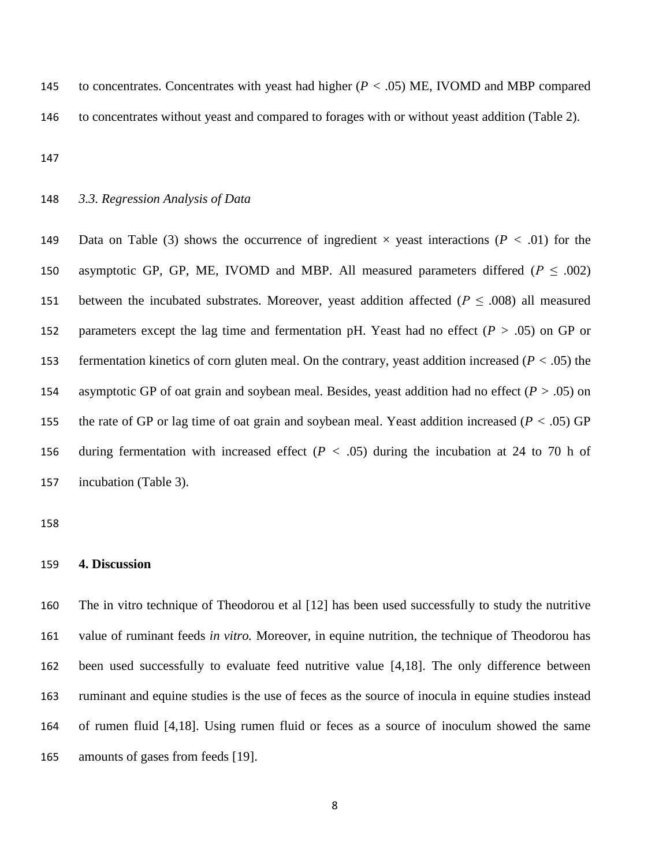to concentrates. Concentrates with yeast had higher (*P <* .05) ME, IVOMD and MBP compared to concentrates without yeast and compared to forages with or without yeast addition (Table 2).

#### *3.3. Regression Analysis of Data*

 Data on Table (3) shows the occurrence of ingredient × yeast interactions (*P <* .01) for the 150 asymptotic GP, GP, ME, IVOMD and MBP. All measured parameters differed ( $P \le 0.002$ ) 151 between the incubated substrates. Moreover, yeast addition affected ( $P \le 0.008$ ) all measured parameters except the lag time and fermentation pH. Yeast had no effect (*P >* .05) on GP or fermentation kinetics of corn gluten meal. On the contrary, yeast addition increased (*P <* .05) the asymptotic GP of oat grain and soybean meal. Besides, yeast addition had no effect (*P >* .05) on the rate of GP or lag time of oat grain and soybean meal. Yeast addition increased (*P <* .05) GP during fermentation with increased effect (*P <* .05) during the incubation at 24 to 70 h of incubation (Table 3).

#### **4. Discussion**

 The in vitro technique of Theodorou et al [12] has been used successfully to study the nutritive value of ruminant feeds *in vitro.* Moreover, in equine nutrition, the technique of Theodorou has been used successfully to evaluate feed nutritive value [4,18]. The only difference between ruminant and equine studies is the use of feces as the source of inocula in equine studies instead of rumen fluid [4,18]. Using rumen fluid or feces as a source of inoculum showed the same amounts of gases from feeds [19].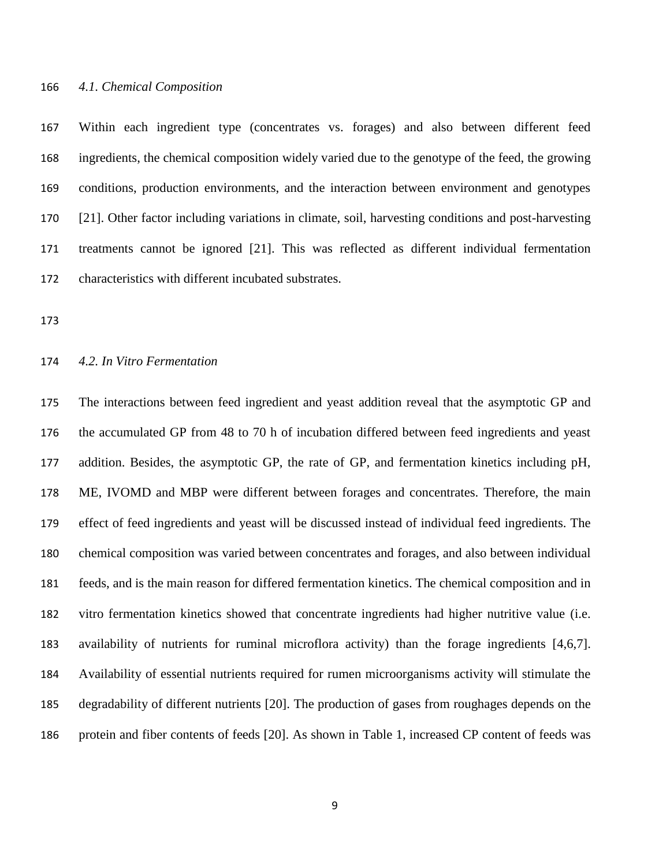#### *4.1. Chemical Composition*

 Within each ingredient type (concentrates vs. forages) and also between different feed ingredients, the chemical composition widely varied due to the genotype of the feed, the growing conditions, production environments, and the interaction between environment and genotypes [21]. Other factor including variations in climate, soil, harvesting conditions and post-harvesting treatments cannot be ignored [21]. This was reflected as different individual fermentation characteristics with different incubated substrates.

#### *4.2. In Vitro Fermentation*

 The interactions between feed ingredient and yeast addition reveal that the asymptotic GP and the accumulated GP from 48 to 70 h of incubation differed between feed ingredients and yeast addition. Besides, the asymptotic GP, the rate of GP, and fermentation kinetics including pH, ME, IVOMD and MBP were different between forages and concentrates. Therefore, the main effect of feed ingredients and yeast will be discussed instead of individual feed ingredients. The chemical composition was varied between concentrates and forages, and also between individual feeds, and is the main reason for differed fermentation kinetics. The chemical composition and in vitro fermentation kinetics showed that concentrate ingredients had higher nutritive value (i.e. availability of nutrients for ruminal microflora activity) than the forage ingredients [4,6,7]. Availability of essential nutrients required for rumen microorganisms activity will stimulate the degradability of different nutrients [20]. The production of gases from roughages depends on the protein and fiber contents of feeds [20]. As shown in Table 1, increased CP content of feeds was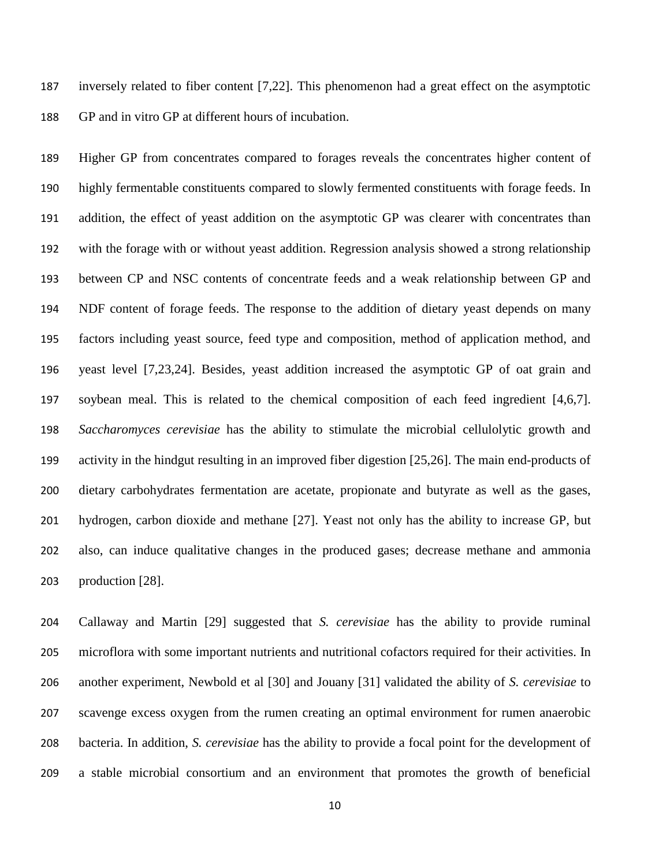inversely related to fiber content [7,22]. This phenomenon had a great effect on the asymptotic GP and in vitro GP at different hours of incubation.

 Higher GP from concentrates compared to forages reveals the concentrates higher content of highly fermentable constituents compared to slowly fermented constituents with forage feeds. In addition, the effect of yeast addition on the asymptotic GP was clearer with concentrates than with the forage with or without yeast addition. Regression analysis showed a strong relationship between CP and NSC contents of concentrate feeds and a weak relationship between GP and NDF content of forage feeds. The response to the addition of dietary yeast depends on many factors including yeast source, feed type and composition, method of application method, and yeast level [7,23,24]. Besides, yeast addition increased the asymptotic GP of oat grain and soybean meal. This is related to the chemical composition of each feed ingredient [4,6,7]. *Saccharomyces cerevisiae* has the ability to stimulate the microbial cellulolytic growth and activity in the hindgut resulting in an improved fiber digestion [25,26]. The main end-products of dietary carbohydrates fermentation are acetate, propionate and butyrate as well as the gases, hydrogen, carbon dioxide and methane [27]. Yeast not only has the ability to increase GP, but also, can induce qualitative changes in the produced gases; decrease methane and ammonia production [28].

 Callaway and Martin [29] suggested that *S. cerevisiae* has the ability to provide ruminal microflora with some important nutrients and nutritional cofactors required for their activities. In another experiment, Newbold et al [30] and Jouany [31] validated the ability of *S. cerevisiae* to scavenge excess oxygen from the rumen creating an optimal environment for rumen anaerobic bacteria. In addition, *S. cerevisiae* has the ability to provide a focal point for the development of a stable microbial consortium and an environment that promotes the growth of beneficial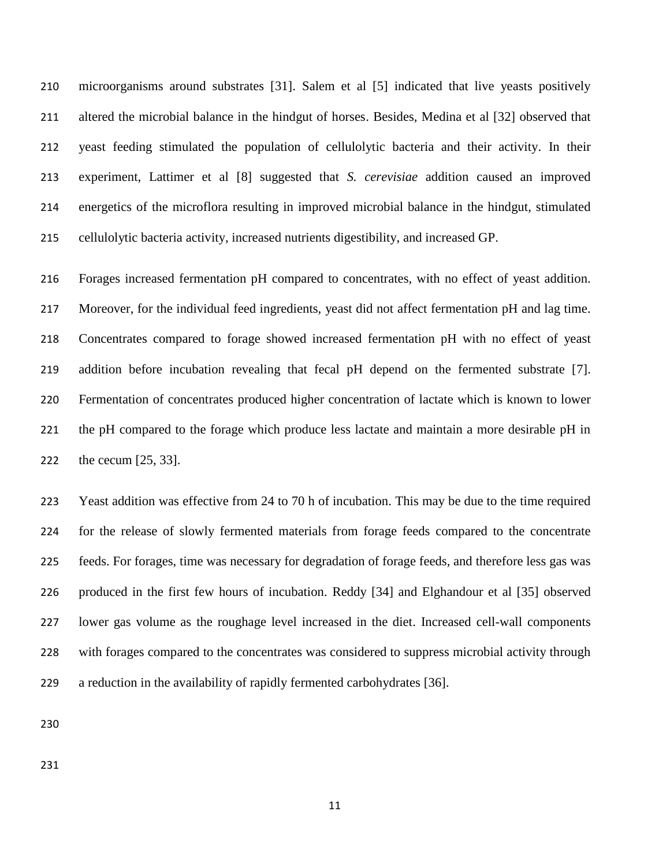microorganisms around substrates [31]. Salem et al [5] indicated that live yeasts positively altered the microbial balance in the hindgut of horses. Besides, Medina et al [32] observed that yeast feeding stimulated the population of cellulolytic bacteria and their activity. In their experiment, Lattimer et al [8] suggested that *S. cerevisiae* addition caused an improved energetics of the microflora resulting in improved microbial balance in the hindgut, stimulated cellulolytic bacteria activity, increased nutrients digestibility, and increased GP.

 Forages increased fermentation pH compared to concentrates, with no effect of yeast addition. Moreover, for the individual feed ingredients, yeast did not affect fermentation pH and lag time. Concentrates compared to forage showed increased fermentation pH with no effect of yeast addition before incubation revealing that fecal pH depend on the fermented substrate [7]. Fermentation of concentrates produced higher concentration of lactate which is known to lower the pH compared to the forage which produce less lactate and maintain a more desirable pH in the cecum [25, 33].

 Yeast addition was effective from 24 to 70 h of incubation. This may be due to the time required for the release of slowly fermented materials from forage feeds compared to the concentrate feeds. For forages, time was necessary for degradation of forage feeds, and therefore less gas was produced in the first few hours of incubation. Reddy [34] and Elghandour et al [35] observed lower gas volume as the roughage level increased in the diet. Increased cell-wall components with forages compared to the concentrates was considered to suppress microbial activity through a reduction in the availability of rapidly fermented carbohydrates [36].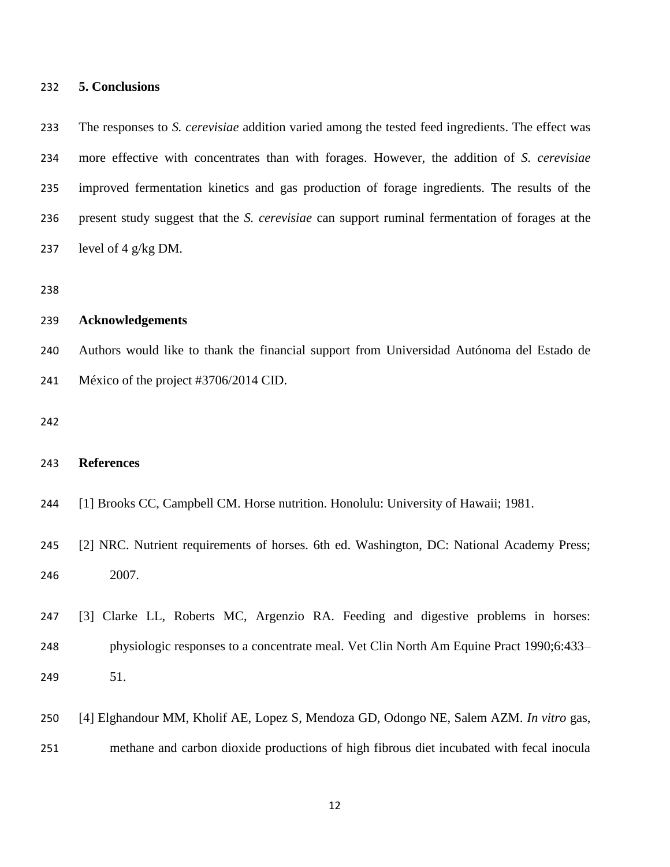#### **5. Conclusions**

 The responses to *S. cerevisiae* addition varied among the tested feed ingredients. The effect was more effective with concentrates than with forages. However, the addition of *S. cerevisiae* improved fermentation kinetics and gas production of forage ingredients. The results of the present study suggest that the *S. cerevisiae* can support ruminal fermentation of forages at the 237 level of 4  $g/kg$  DM.

#### **Acknowledgements**

 Authors would like to thank the financial support from Universidad Autónoma del Estado de México of the project #3706/2014 CID.

#### **References**

- [1] Brooks CC, Campbell CM. Horse nutrition. Honolulu: University of Hawaii; 1981.
- 245 [2] NRC. Nutrient requirements of horses. 6th ed. Washington, DC: National Academy Press; 2007.
- [3] Clarke LL, Roberts MC, Argenzio RA. Feeding and digestive problems in horses: physiologic responses to a concentrate meal. Vet Clin North Am Equine Pract 1990;6:433– 51.
- [4] Elghandour MM, Kholif AE, Lopez S, Mendoza GD, Odongo NE, Salem AZM. *In vitro* gas,
- methane and carbon dioxide productions of high fibrous diet incubated with fecal inocula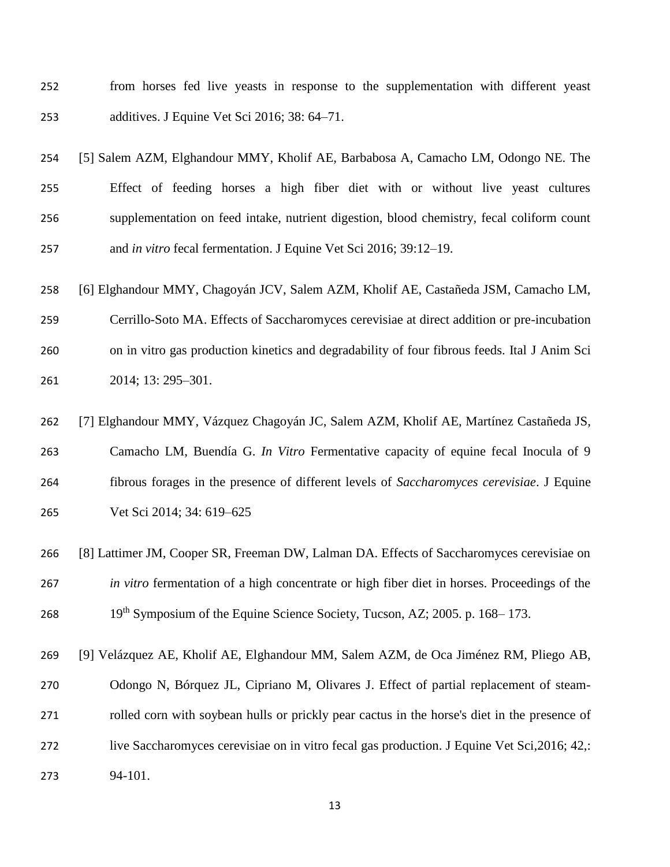- from horses fed live yeasts in response to the supplementation with different yeast additives. J Equine Vet Sci 2016; 38: 64–71.
- [5] Salem AZM, Elghandour MMY, Kholif AE, Barbabosa A, Camacho LM, Odongo NE. The Effect of feeding horses a high fiber diet with or without live yeast cultures supplementation on feed intake, nutrient digestion, blood chemistry, fecal coliform count and *in vitro* fecal fermentation. J Equine Vet Sci 2016; 39:12–19.
- [6] Elghandour MMY, Chagoyán JCV, Salem AZM, Kholif AE, Castañeda JSM, Camacho LM, Cerrillo-Soto MA. Effects of Saccharomyces cerevisiae at direct addition or pre-incubation
- on in vitro gas production kinetics and degradability of four fibrous feeds. Ital J Anim Sci 2014; 13: 295–301.
- [7] Elghandour MMY, Vázquez Chagoyán JC, Salem AZM, Kholif AE, Martínez Castañeda JS, Camacho LM, Buendía G. *In Vitro* Fermentative capacity of equine fecal Inocula of 9 fibrous forages in the presence of different levels of *Saccharomyces cerevisiae*. J Equine Vet Sci 2014; 34: 619–625
- [8] Lattimer JM, Cooper SR, Freeman DW, Lalman DA. Effects of Saccharomyces cerevisiae on *in vitro* fermentation of a high concentrate or high fiber diet in horses. Proceedings of the 268  $19^{th}$  Symposium of the Equine Science Society, Tucson, AZ; 2005. p. 168–173.
- [9] Velázquez AE, Kholif AE, Elghandour MM, Salem AZM, de Oca Jiménez RM, Pliego AB, Odongo N, Bórquez JL, Cipriano M, Olivares J. Effect of partial replacement of steam- rolled corn with soybean hulls or prickly pear cactus in the horse's diet in the presence of live Saccharomyces cerevisiae on in vitro fecal gas production. J Equine Vet Sci,2016; 42,: 94-101.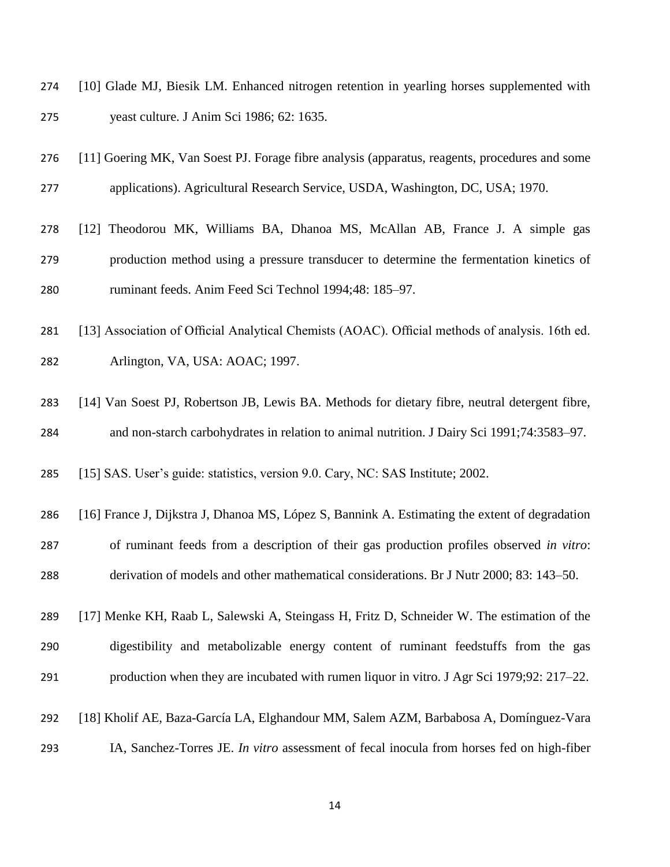- [10] Glade MJ, Biesik LM. Enhanced nitrogen retention in yearling horses supplemented with yeast culture. J Anim Sci 1986; 62: 1635.
- [11] Goering MK, Van Soest PJ. Forage fibre analysis (apparatus, reagents, procedures and some applications). Agricultural Research Service, USDA, Washington, DC, USA; 1970.
- [12] Theodorou MK, Williams BA, Dhanoa MS, McAllan AB, France J. A simple gas production method using a pressure transducer to determine the fermentation kinetics of ruminant feeds. Anim Feed Sci Technol 1994;48: 185–97.
- [13] Association of Official Analytical Chemists (AOAC). Official methods of analysis. 16th ed. Arlington, VA, USA: AOAC; 1997.
- [14] Van Soest PJ, Robertson JB, Lewis BA. Methods for dietary fibre, neutral detergent fibre, and non-starch carbohydrates in relation to animal nutrition. J Dairy Sci 1991;74:3583–97.
- [15] SAS. User's guide: statistics, version 9.0. Cary, NC: SAS Institute; 2002.
- [16] France J, Dijkstra J, Dhanoa MS, López S, Bannink A. Estimating the extent of degradation of ruminant feeds from a description of their gas production profiles observed *in vitro*: derivation of models and other mathematical considerations. Br J Nutr 2000; 83: 143–50.
- [17] Menke KH, Raab L, Salewski A, Steingass H, Fritz D, Schneider W. The estimation of the digestibility and metabolizable energy content of ruminant feedstuffs from the gas production when they are incubated with rumen liquor in vitro. J Agr Sci 1979;92: 217–22.
- [18] Kholif AE, Baza-García LA, Elghandour MM, Salem AZM, Barbabosa A, Domínguez-Vara
- IA, Sanchez-Torres JE. *In vitro* assessment of fecal inocula from horses fed on high-fiber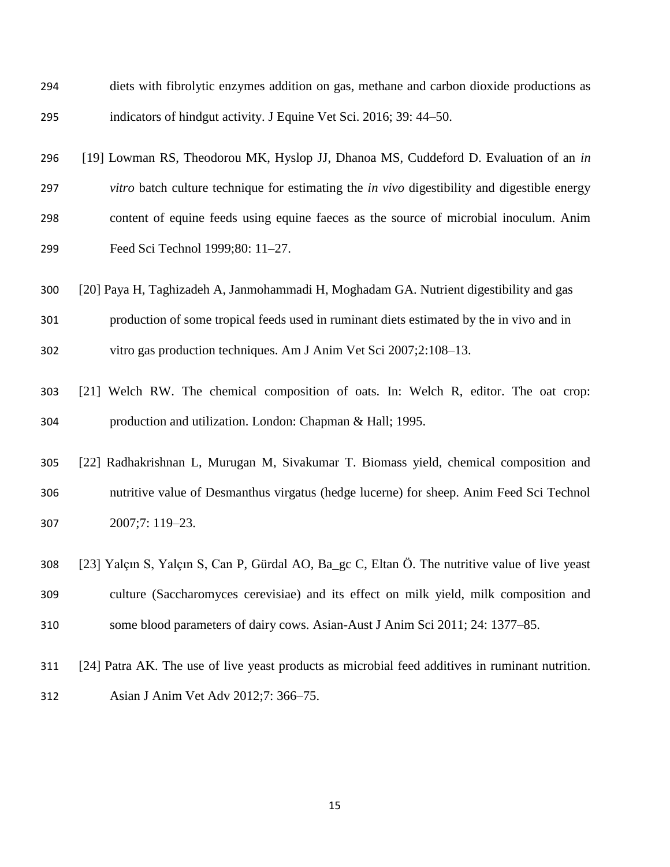| 294 | diets with fibrolytic enzymes addition on gas, methane and carbon dioxide productions as            |
|-----|-----------------------------------------------------------------------------------------------------|
| 295 | indicators of hindgut activity. J Equine Vet Sci. 2016; 39: 44–50.                                  |
| 296 | [19] Lowman RS, Theodorou MK, Hyslop JJ, Dhanoa MS, Cuddeford D. Evaluation of an in                |
| 297 | vitro batch culture technique for estimating the <i>in vivo</i> digestibility and digestible energy |
| 298 | content of equine feeds using equine faeces as the source of microbial inoculum. Anim               |
| 299 | Feed Sci Technol 1999;80: 11-27.                                                                    |
| 300 | [20] Paya H, Taghizadeh A, Janmohammadi H, Moghadam GA. Nutrient digestibility and gas              |
| 301 | production of some tropical feeds used in ruminant diets estimated by the in vivo and in            |
| 302 | vitro gas production techniques. Am J Anim Vet Sci 2007;2:108-13.                                   |
| 303 | [21] Welch RW. The chemical composition of oats. In: Welch R, editor. The oat crop:                 |
| 304 | production and utilization. London: Chapman & Hall; 1995.                                           |
| 305 | [22] Radhakrishnan L, Murugan M, Sivakumar T. Biomass yield, chemical composition and               |
| 306 | nutritive value of Desmanthus virgatus (hedge lucerne) for sheep. Anim Feed Sci Technol             |
| 307 | 2007;7: 119-23.                                                                                     |
| 308 | [23] Yalçın S, Yalçın S, Can P, Gürdal AO, Ba_gc C, Eltan Ö. The nutritive value of live yeast      |
| 309 | culture (Saccharomyces cerevisiae) and its effect on milk yield, milk composition and               |
| 310 | some blood parameters of dairy cows. Asian-Aust J Anim Sci 2011; 24: 1377–85.                       |
| 311 | [24] Patra AK. The use of live yeast products as microbial feed additives in ruminant nutrition.    |
| 312 | Asian J Anim Vet Adv 2012;7: 366–75.                                                                |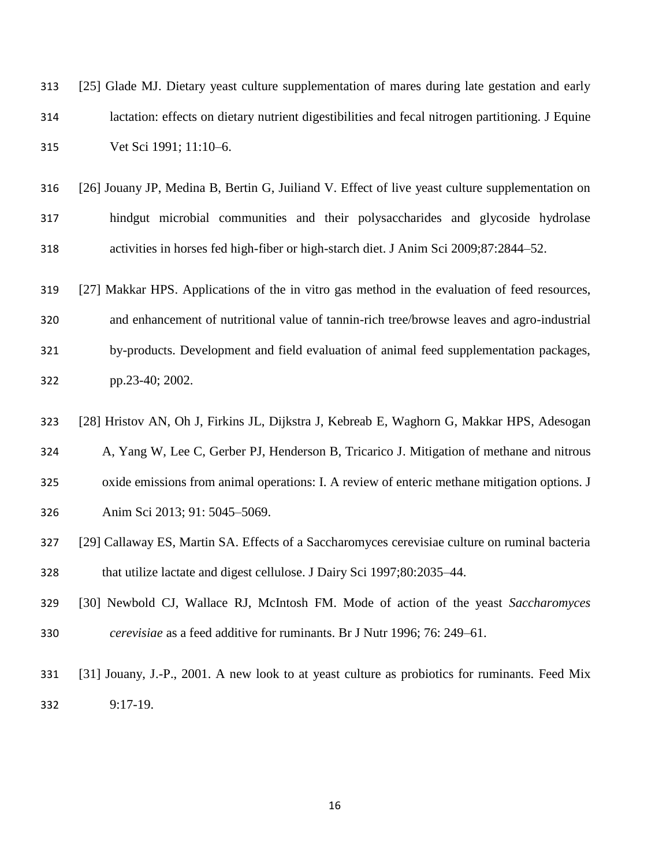| 313 | [25] Glade MJ. Dietary yeast culture supplementation of mares during late gestation and early    |
|-----|--------------------------------------------------------------------------------------------------|
| 314 | lactation: effects on dietary nutrient digestibilities and fecal nitrogen partitioning. J Equine |
| 315 | Vet Sci 1991; 11:10–6.                                                                           |

- [26] Jouany JP, Medina B, Bertin G, Juiliand V. Effect of live yeast culture supplementation on hindgut microbial communities and their polysaccharides and glycoside hydrolase activities in horses fed high-fiber or high-starch diet. J Anim Sci 2009;87:2844–52.
- [27] Makkar HPS. Applications of the in vitro gas method in the evaluation of feed resources, and enhancement of nutritional value of tannin-rich tree/browse leaves and agro-industrial by-products. Development and field evaluation of animal feed supplementation packages, pp.23-40; 2002.
- [28] Hristov AN, Oh J, Firkins JL, Dijkstra J, Kebreab E, Waghorn G, Makkar HPS, Adesogan A, Yang W, Lee C, Gerber PJ, Henderson B, Tricarico J. Mitigation of methane and nitrous
- oxide emissions from animal operations: I. A review of enteric methane mitigation options. J
- Anim Sci 2013; 91: 5045–5069.
- [29] Callaway ES, Martin SA. Effects of a Saccharomyces cerevisiae culture on ruminal bacteria that utilize lactate and digest cellulose. J Dairy Sci 1997;80:2035–44.
- [30] Newbold CJ, Wallace RJ, McIntosh FM. Mode of action of the yeast *Saccharomyces cerevisiae* as a feed additive for ruminants. Br J Nutr 1996; 76: 249–61.
- [31] Jouany, J.-P., 2001. A new look to at yeast culture as probiotics for ruminants. Feed Mix 9:17-19.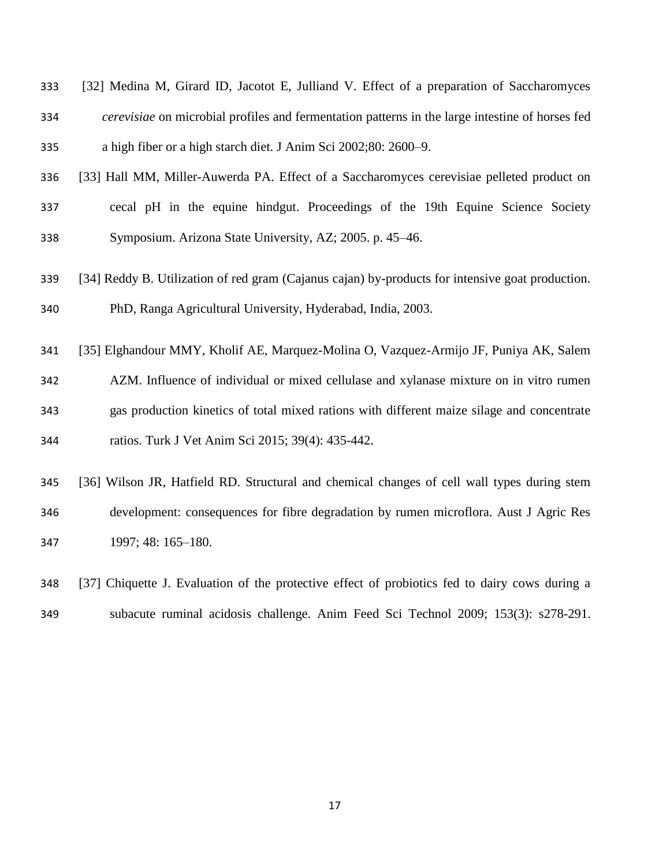| 333 | [32] Medina M, Girard ID, Jacotot E, Julliand V. Effect of a preparation of Saccharomyces              |
|-----|--------------------------------------------------------------------------------------------------------|
| 334 | <i>cerevisiae</i> on microbial profiles and fermentation patterns in the large intestine of horses fed |
| 335 | a high fiber or a high starch diet. J Anim Sci 2002;80: 2600–9.                                        |

- [33] Hall MM, Miller-Auwerda PA. Effect of a Saccharomyces cerevisiae pelleted product on
- cecal pH in the equine hindgut. Proceedings of the 19th Equine Science Society Symposium. Arizona State University, AZ; 2005. p. 45–46.
- [34] Reddy B. Utilization of red gram (Cajanus cajan) by-products for intensive goat production. PhD, Ranga Agricultural University, Hyderabad, India, 2003.
- [35] Elghandour MMY, Kholif AE, Marquez-Molina O, Vazquez-Armijo JF, Puniya AK, Salem AZM. Influence of individual or mixed cellulase and xylanase mixture on in vitro rumen gas production kinetics of total mixed rations with different maize silage and concentrate ratios. Turk J Vet Anim Sci 2015; 39(4): 435-442.
- [36] Wilson JR, Hatfield RD. Structural and chemical changes of cell wall types during stem development: consequences for fibre degradation by rumen microflora. Aust J Agric Res 1997; 48: 165–180.
- [37] Chiquette J. Evaluation of the protective effect of probiotics fed to dairy cows during a subacute ruminal acidosis challenge. Anim Feed Sci Technol 2009; 153(3): s278-291.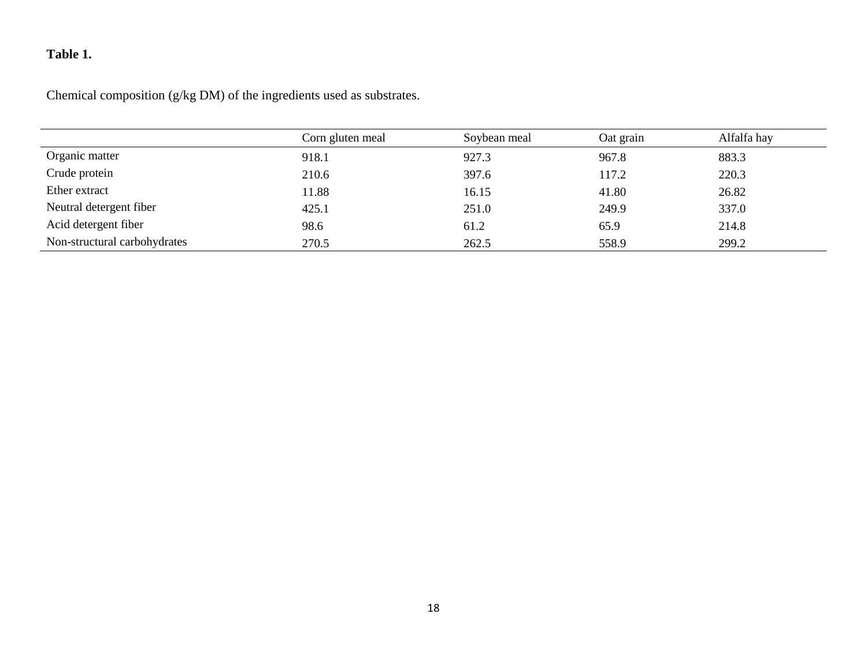# **Table 1.**

Chemical composition (g/kg DM) of the ingredients used as substrates.

|                              | Corn gluten meal | Soybean meal | Oat grain | Alfalfa hay |
|------------------------------|------------------|--------------|-----------|-------------|
| Organic matter               | 918.1            | 927.3        | 967.8     | 883.3       |
| Crude protein                | 210.6            | 397.6        | 117.2     | 220.3       |
| Ether extract                | 11.88            | 16.15        | 41.80     | 26.82       |
| Neutral detergent fiber      | 425.1            | 251.0        | 249.9     | 337.0       |
| Acid detergent fiber         | 98.6             | 61.2         | 65.9      | 214.8       |
| Non-structural carbohydrates | 270.5            | 262.5        | 558.9     | 299.2       |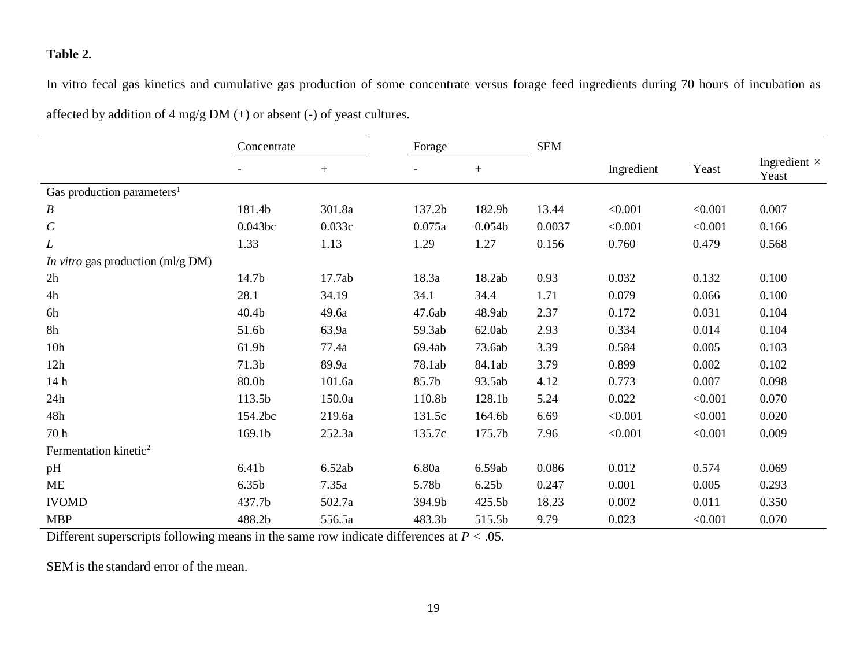### **Table 2.**

In vitro fecal gas kinetics and cumulative gas production of some concentrate versus forage feed ingredients during 70 hours of incubation as affected by addition of 4 mg/g DM (+) or absent (-) of yeast cultures.

|                                          | Concentrate |        | Forage |                    | <b>SEM</b> |            |         |                              |
|------------------------------------------|-------------|--------|--------|--------------------|------------|------------|---------|------------------------------|
|                                          |             | $+$    |        | $+$                |            | Ingredient | Yeast   | Ingredient $\times$<br>Yeast |
| Gas production parameters <sup>1</sup>   |             |        |        |                    |            |            |         |                              |
| $\boldsymbol{B}$                         | 181.4b      | 301.8a | 137.2b | 182.9b             | 13.44      | < 0.001    | < 0.001 | 0.007                        |
| $\cal C$                                 | 0.043bc     | 0.033c | 0.075a | 0.054 <sub>b</sub> | 0.0037     | < 0.001    | < 0.001 | 0.166                        |
| L                                        | 1.33        | 1.13   | 1.29   | 1.27               | 0.156      | 0.760      | 0.479   | 0.568                        |
| <i>In vitro</i> gas production (ml/g DM) |             |        |        |                    |            |            |         |                              |
| 2h                                       | 14.7b       | 17.7ab | 18.3a  | 18.2ab             | 0.93       | 0.032      | 0.132   | 0.100                        |
| 4h                                       | 28.1        | 34.19  | 34.1   | 34.4               | 1.71       | 0.079      | 0.066   | 0.100                        |
| 6h                                       | 40.4b       | 49.6a  | 47.6ab | 48.9ab             | 2.37       | 0.172      | 0.031   | 0.104                        |
| 8h                                       | 51.6b       | 63.9a  | 59.3ab | 62.0ab             | 2.93       | 0.334      | 0.014   | 0.104                        |
| 10h                                      | 61.9b       | 77.4a  | 69.4ab | 73.6ab             | 3.39       | 0.584      | 0.005   | 0.103                        |
| 12h                                      | 71.3b       | 89.9a  | 78.1ab | 84.1ab             | 3.79       | 0.899      | 0.002   | 0.102                        |
| 14h                                      | 80.0b       | 101.6a | 85.7b  | 93.5ab             | 4.12       | 0.773      | 0.007   | 0.098                        |
| 24h                                      | 113.5b      | 150.0a | 110.8b | 128.1b             | 5.24       | 0.022      | < 0.001 | 0.070                        |
| 48h                                      | 154.2bc     | 219.6a | 131.5c | 164.6b             | 6.69       | < 0.001    | < 0.001 | 0.020                        |
| 70 h                                     | 169.1b      | 252.3a | 135.7c | 175.7b             | 7.96       | < 0.001    | < 0.001 | 0.009                        |
| Fermentation kinetic <sup>2</sup>        |             |        |        |                    |            |            |         |                              |
| pH                                       | 6.41b       | 6.52ab | 6.80a  | 6.59ab             | 0.086      | 0.012      | 0.574   | 0.069                        |
| ME                                       | 6.35b       | 7.35a  | 5.78b  | 6.25 <sub>b</sub>  | 0.247      | 0.001      | 0.005   | 0.293                        |
| <b>IVOMD</b>                             | 437.7b      | 502.7a | 394.9b | 425.5b             | 18.23      | 0.002      | 0.011   | 0.350                        |
| <b>MBP</b>                               | 488.2b      | 556.5a | 483.3b | 515.5b             | 9.79       | 0.023      | < 0.001 | 0.070                        |

Different superscripts following means in the same row indicate differences at *P <* .05.

SEM is the standard error of the mean.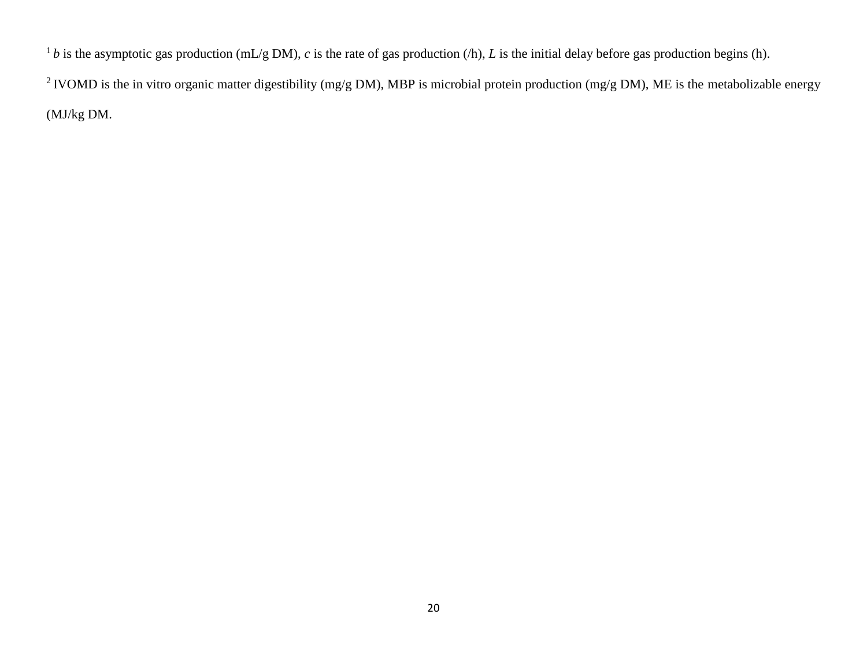<sup>1</sup>*b* is the asymptotic gas production (mL/g DM), *c* is the rate of gas production (/h), *L* is the initial delay before gas production begins (h).

<sup>2</sup> IVOMD is the in vitro organic matter digestibility (mg/g DM), MBP is microbial protein production (mg/g DM), ME is the metabolizable energy (MJ/kg DM.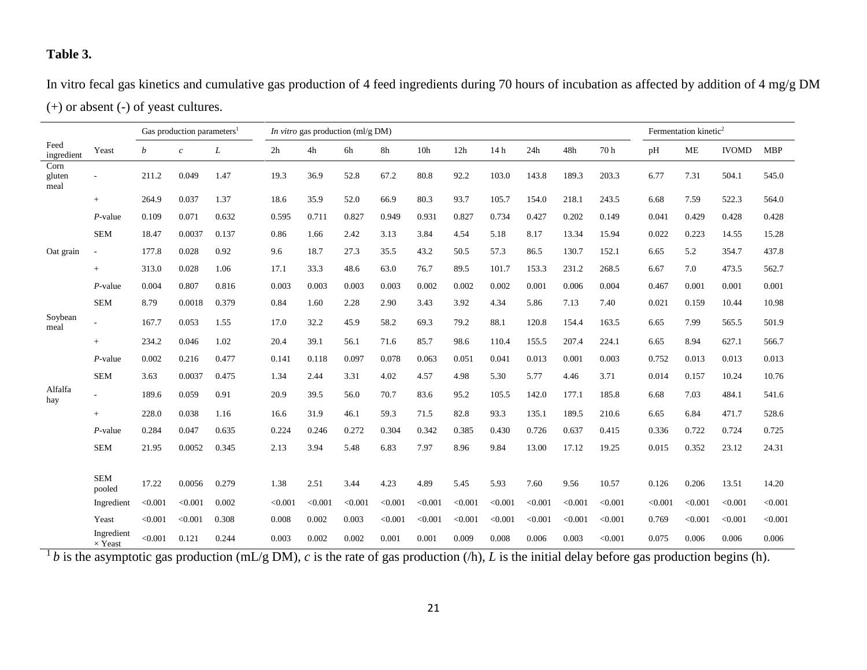## **Table 3.**

In vitro fecal gas kinetics and cumulative gas production of 4 feed ingredients during 70 hours of incubation as affected by addition of 4 mg/g DM (+) or absent (-) of yeast cultures.

|                        |                              | Gas production parameters <sup>1</sup> |               |       | <i>In vitro</i> gas production $\text{mI/g DM}$ |         |         |         |                 |         |                 |         |         |         | Fermentation kinetic <sup>2</sup> |           |              |            |
|------------------------|------------------------------|----------------------------------------|---------------|-------|-------------------------------------------------|---------|---------|---------|-----------------|---------|-----------------|---------|---------|---------|-----------------------------------|-----------|--------------|------------|
| Feed<br>ingredient     | Yeast                        | b                                      | $\mathcal{C}$ | L     | 2h                                              | 4h      | 6h      | 8h      | 10 <sub>h</sub> | 12h     | 14 <sub>h</sub> | 24h     | 48h     | 70h     | pH                                | <b>ME</b> | <b>IVOMD</b> | <b>MBP</b> |
| Corn<br>gluten<br>meal |                              | 211.2                                  | 0.049         | 1.47  | 19.3                                            | 36.9    | 52.8    | 67.2    | 80.8            | 92.2    | 103.0           | 143.8   | 189.3   | 203.3   | 6.77                              | 7.31      | 504.1        | 545.0      |
|                        | $+$                          | 264.9                                  | 0.037         | 1.37  | 18.6                                            | 35.9    | 52.0    | 66.9    | 80.3            | 93.7    | 105.7           | 154.0   | 218.1   | 243.5   | 6.68                              | 7.59      | 522.3        | 564.0      |
|                        | $P$ -value                   | 0.109                                  | 0.071         | 0.632 | 0.595                                           | 0.711   | 0.827   | 0.949   | 0.931           | 0.827   | 0.734           | 0.427   | 0.202   | 0.149   | 0.041                             | 0.429     | 0.428        | 0.428      |
|                        | <b>SEM</b>                   | 18.47                                  | 0.0037        | 0.137 | 0.86                                            | 1.66    | 2.42    | 3.13    | 3.84            | 4.54    | 5.18            | 8.17    | 13.34   | 15.94   | 0.022                             | 0.223     | 14.55        | 15.28      |
| Oat grain              |                              | 177.8                                  | 0.028         | 0.92  | 9.6                                             | 18.7    | 27.3    | 35.5    | 43.2            | 50.5    | 57.3            | 86.5    | 130.7   | 152.1   | 6.65                              | 5.2       | 354.7        | 437.8      |
|                        | $+$                          | 313.0                                  | 0.028         | 1.06  | 17.1                                            | 33.3    | 48.6    | 63.0    | 76.7            | 89.5    | 101.7           | 153.3   | 231.2   | 268.5   | 6.67                              | 7.0       | 473.5        | 562.7      |
|                        | $P$ -value                   | 0.004                                  | 0.807         | 0.816 | 0.003                                           | 0.003   | 0.003   | 0.003   | 0.002           | 0.002   | 0.002           | 0.001   | 0.006   | 0.004   | 0.467                             | 0.001     | 0.001        | 0.001      |
|                        | <b>SEM</b>                   | 8.79                                   | 0.0018        | 0.379 | 0.84                                            | 1.60    | 2.28    | 2.90    | 3.43            | 3.92    | 4.34            | 5.86    | 7.13    | 7.40    | 0.021                             | 0.159     | 10.44        | 10.98      |
| Soybean<br>meal        |                              | 167.7                                  | 0.053         | 1.55  | 17.0                                            | 32.2    | 45.9    | 58.2    | 69.3            | 79.2    | 88.1            | 120.8   | 154.4   | 163.5   | 6.65                              | 7.99      | 565.5        | 501.9      |
|                        | $+$                          | 234.2                                  | 0.046         | 1.02  | 20.4                                            | 39.1    | 56.1    | 71.6    | 85.7            | 98.6    | 110.4           | 155.5   | 207.4   | 224.1   | 6.65                              | 8.94      | 627.1        | 566.7      |
|                        | $P$ -value                   | 0.002                                  | 0.216         | 0.477 | 0.141                                           | 0.118   | 0.097   | 0.078   | 0.063           | 0.051   | 0.041           | 0.013   | 0.001   | 0.003   | 0.752                             | 0.013     | 0.013        | 0.013      |
|                        | <b>SEM</b>                   | 3.63                                   | 0.0037        | 0.475 | 1.34                                            | 2.44    | 3.31    | 4.02    | 4.57            | 4.98    | 5.30            | 5.77    | 4.46    | 3.71    | 0.014                             | 0.157     | 10.24        | 10.76      |
| Alfalfa<br>hay         |                              | 189.6                                  | 0.059         | 0.91  | 20.9                                            | 39.5    | 56.0    | 70.7    | 83.6            | 95.2    | 105.5           | 142.0   | 177.1   | 185.8   | 6.68                              | 7.03      | 484.1        | 541.6      |
|                        | $+$                          | 228.0                                  | 0.038         | 1.16  | 16.6                                            | 31.9    | 46.1    | 59.3    | 71.5            | 82.8    | 93.3            | 135.1   | 189.5   | 210.6   | 6.65                              | 6.84      | 471.7        | 528.6      |
|                        | $P$ -value                   | 0.284                                  | 0.047         | 0.635 | 0.224                                           | 0.246   | 0.272   | 0.304   | 0.342           | 0.385   | 0.430           | 0.726   | 0.637   | 0.415   | 0.336                             | 0.722     | 0.724        | 0.725      |
|                        | <b>SEM</b>                   | 21.95                                  | 0.0052        | 0.345 | 2.13                                            | 3.94    | 5.48    | 6.83    | 7.97            | 8.96    | 9.84            | 13.00   | 17.12   | 19.25   | 0.015                             | 0.352     | 23.12        | 24.31      |
|                        |                              |                                        |               |       |                                                 |         |         |         |                 |         |                 |         |         |         |                                   |           |              |            |
|                        | <b>SEM</b><br>pooled         | 17.22                                  | 0.0056        | 0.279 | 1.38                                            | 2.51    | 3.44    | 4.23    | 4.89            | 5.45    | 5.93            | 7.60    | 9.56    | 10.57   | 0.126                             | 0.206     | 13.51        | 14.20      |
|                        | Ingredient                   | < 0.001                                | < 0.001       | 0.002 | < 0.001                                         | < 0.001 | < 0.001 | < 0.001 | < 0.001         | < 0.001 | < 0.001         | < 0.001 | < 0.001 | < 0.001 | < 0.001                           | < 0.001   | < 0.001      | < 0.001    |
|                        | Yeast                        | < 0.001                                | < 0.001       | 0.308 | 0.008                                           | 0.002   | 0.003   | < 0.001 | < 0.001         | < 0.001 | < 0.001         | < 0.001 | < 0.001 | < 0.001 | 0.769                             | < 0.001   | < 0.001      | < 0.001    |
|                        | Ingredient<br>$\times$ Yeast | < 0.001                                | 0.121         | 0.244 | 0.003                                           | 0.002   | 0.002   | 0.001   | 0.001           | 0.009   | 0.008           | 0.006   | 0.003   | < 0.001 | 0.075                             | 0.006     | 0.006        | 0.006      |

 $^1b$  is the asymptotic gas production (mL/g DM), *c* is the rate of gas production (/h), *L* is the initial delay before gas production begins (h).